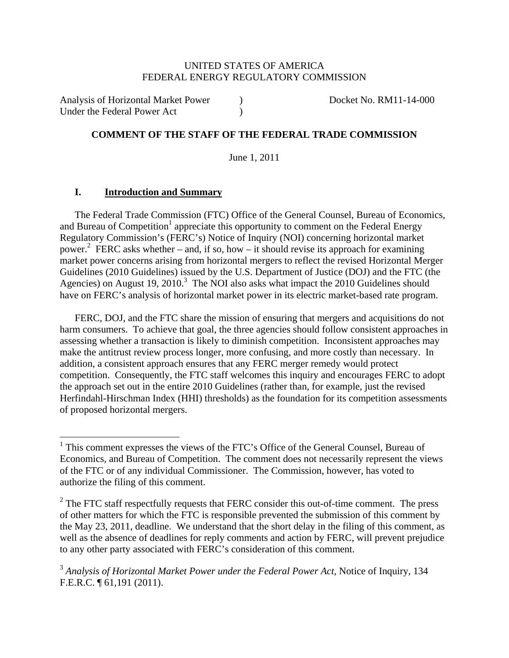#### UNITED STATES OF AMERICA FEDERAL ENERGY REGULATORY COMMISSION

Analysis of Horizontal Market Power (a) Booket No. RM11-14-000 Under the Federal Power Act (1996)

## **COMMENT OF THE STAFF OF THE FEDERAL TRADE COMMISSION**

June 1, 2011

#### **I. Introduction and Summary**

The Federal Trade Commission (FTC) Office of the General Counsel, Bureau of Economics, and Bureau of Competition<sup>1</sup> appreciate this opportunity to comment on the Federal Energy Regulatory Commission's (FERC's) Notice of Inquiry (NOI) concerning horizontal market power. 2 FERC asks whether – and, if so, how – it should revise its approach for examining market power concerns arising from horizontal mergers to reflect the revised Horizontal Merger Guidelines (2010 Guidelines) issued by the U.S. Department of Justice (DOJ) and the FTC (the Agencies) on August 19, 2010.<sup>3</sup> The NOI also asks what impact the 2010 Guidelines should have on FERC's analysis of horizontal market power in its electric market-based rate program.

FERC, DOJ, and the FTC share the mission of ensuring that mergers and acquisitions do not harm consumers. To achieve that goal, the three agencies should follow consistent approaches in assessing whether a transaction is likely to diminish competition. Inconsistent approaches may make the antitrust review process longer, more confusing, and more costly than necessary. In addition, a consistent approach ensures that any FERC merger remedy would protect competition. Consequently, the FTC staff welcomes this inquiry and encourages FERC to adopt the approach set out in the entire 2010 Guidelines (rather than, for example, just the revised Herfindahl-Hirschman Index (HHI) thresholds) as the foundation for its competition assessments of proposed horizontal mergers.

<sup>&</sup>lt;sup>1</sup> This comment expresses the views of the FTC's Office of the General Counsel, Bureau of Economics, and Bureau of Competition. The comment does not necessarily represent the views of the FTC or of any individual Commissioner. The Commission, however, has voted to authorize the filing of this comment.

 $2^2$  The FTC staff respectfully requests that FERC consider this out-of-time comment. The press of other matters for which the FTC is responsible prevented the submission of this comment by the May 23, 2011, deadline. We understand that the short delay in the filing of this comment, as well as the absence of deadlines for reply comments and action by FERC, will prevent prejudice to any other party associated with FERC's consideration of this comment.

<sup>3</sup> *Analysis of Horizontal Market Power under the Federal Power Act*, Notice of Inquiry, 134 F.E.R.C. ¶ 61,191 (2011).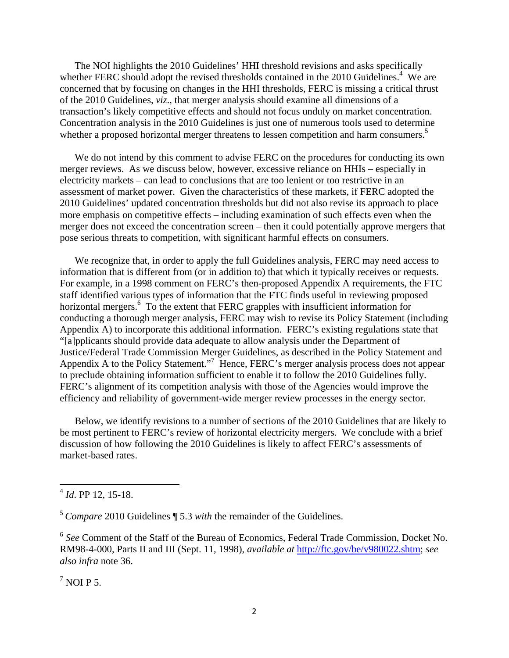The NOI highlights the 2010 Guidelines' HHI threshold revisions and asks specifically whether FERC should adopt the revised thresholds contained in the 2010 Guidelines.<sup>4</sup> We are concerned that by focusing on changes in the HHI thresholds, FERC is missing a critical thrust of the 2010 Guidelines, *viz*., that merger analysis should examine all dimensions of a transaction's likely competitive effects and should not focus unduly on market concentration. Concentration analysis in the 2010 Guidelines is just one of numerous tools used to determine whether a proposed horizontal merger threatens to lessen competition and harm consumers.<sup>5</sup>

We do not intend by this comment to advise FERC on the procedures for conducting its own merger reviews. As we discuss below, however, excessive reliance on HHIs – especially in electricity markets – can lead to conclusions that are too lenient or too restrictive in an assessment of market power. Given the characteristics of these markets, if FERC adopted the 2010 Guidelines' updated concentration thresholds but did not also revise its approach to place more emphasis on competitive effects – including examination of such effects even when the merger does not exceed the concentration screen – then it could potentially approve mergers that pose serious threats to competition, with significant harmful effects on consumers.

We recognize that, in order to apply the full Guidelines analysis, FERC may need access to information that is different from (or in addition to) that which it typically receives or requests. For example, in a 1998 comment on FERC's then-proposed Appendix A requirements, the FTC staff identified various types of information that the FTC finds useful in reviewing proposed horizontal mergers.<sup>6</sup> To the extent that FERC grapples with insufficient information for conducting a thorough merger analysis, FERC may wish to revise its Policy Statement (including Appendix A) to incorporate this additional information. FERC's existing regulations state that "[a]pplicants should provide data adequate to allow analysis under the Department of Justice/Federal Trade Commission Merger Guidelines, as described in the Policy Statement and Appendix A to the Policy Statement."<sup>7</sup> Hence, FERC's merger analysis process does not appear to preclude obtaining information sufficient to enable it to follow the 2010 Guidelines fully. FERC's alignment of its competition analysis with those of the Agencies would improve the efficiency and reliability of government-wide merger review processes in the energy sector.

Below, we identify revisions to a number of sections of the 2010 Guidelines that are likely to be most pertinent to FERC's review of horizontal electricity mergers. We conclude with a brief discussion of how following the 2010 Guidelines is likely to affect FERC's assessments of market-based rates.

 $^7$  NOI P 5.

<sup>4</sup> *Id*. PP 12, 15-18.

<sup>5</sup> *Compare* 2010 Guidelines ¶ 5.3 *with* the remainder of the Guidelines.

<sup>6</sup> *See* Comment of the Staff of the Bureau of Economics, Federal Trade Commission, Docket No. RM98-4-000, Parts II and III (Sept. 11, 1998), *available at* http://ftc.gov/be/v980022.shtm; *see also infra* note 36.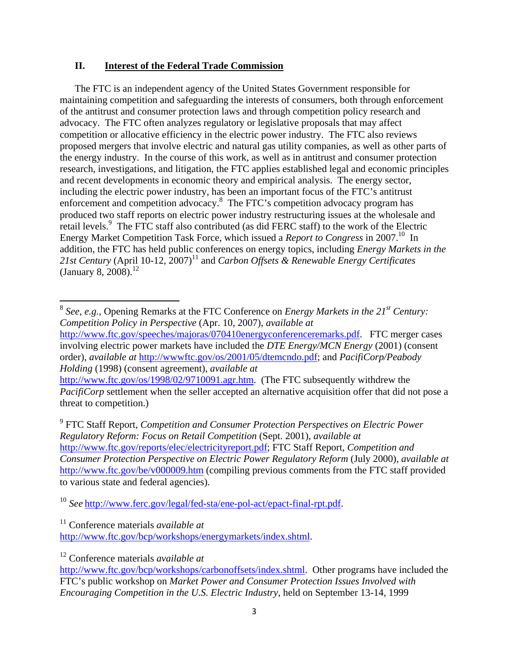## **II. Interest of the Federal Trade Commission**

The FTC is an independent agency of the United States Government responsible for maintaining competition and safeguarding the interests of consumers, both through enforcement of the antitrust and consumer protection laws and through competition policy research and advocacy. The FTC often analyzes regulatory or legislative proposals that may affect competition or allocative efficiency in the electric power industry. The FTC also reviews proposed mergers that involve electric and natural gas utility companies, as well as other parts of the energy industry. In the course of this work, as well as in antitrust and consumer protection research, investigations, and litigation, the FTC applies established legal and economic principles and recent developments in economic theory and empirical analysis. The energy sector, including the electric power industry, has been an important focus of the FTC's antitrust enforcement and competition advocacy.<sup>8</sup> The FTC's competition advocacy program has produced two staff reports on electric power industry restructuring issues at the wholesale and retail levels.<sup>9</sup> The FTC staff also contributed (as did FERC staff) to the work of the Electric Energy Market Competition Task Force, which issued a *Report to Congress* in 2007.10 In addition, the FTC has held public conferences on energy topics, including *Energy Markets in the*  21st Century (April 10-12, 2007)<sup>11</sup> and *Carbon Offsets & Renewable Energy Certificates* (January 8, 2008).<sup>12</sup>

order), *available at* http://wwwftc.gov/os/2001/05/dtemcndo.pdf; and *PacifiCorp/Peabody Holding* (1998) (consent agreement), *available at* http://www.ftc.gov/os/1998/02/9710091.agr.htm. (The FTC subsequently withdrew the

*PacifiCorp* settlement when the seller accepted an alternative acquisition offer that did not pose a threat to competition.)

9 FTC Staff Report, *Competition and Consumer Protection Perspectives on Electric Power Regulatory Reform: Focus on Retail Competition* (Sept. 2001), *available at* http://www.ftc.gov/reports/elec/electricityreport.pdf; FTC Staff Report, *Competition and Consumer Protection Perspective on Electric Power Regulatory Reform* (July 2000), *available at* http://www.ftc.gov/be/v000009.htm (compiling previous comments from the FTC staff provided to various state and federal agencies).

<sup>10</sup> *See* http://www.ferc.gov/legal/fed-sta/ene-pol-act/epact-final-rpt.pdf.

11 Conference materials *available at*

http://www.ftc.gov/bcp/workshops/energymarkets/index.shtml.

12 Conference materials *available at*

<sup>8</sup> *See, e.g.*, Opening Remarks at the FTC Conference on *Energy Markets in the 21st Century: Competition Policy in Perspective* (Apr. 10, 2007), *available at* http://www.ftc.gov/speeches/majoras/070410energyconferenceremarks.pdf. FTC merger cases involving electric power markets have included the *DTE Energy/MCN Energy* (2001) (consent

http://www.ftc.gov/bcp/workshops/carbonoffsets/index.shtml. Other programs have included the FTC's public workshop on *Market Power and Consumer Protection Issues Involved with Encouraging Competition in the U.S. Electric Industry*, held on September 13-14, 1999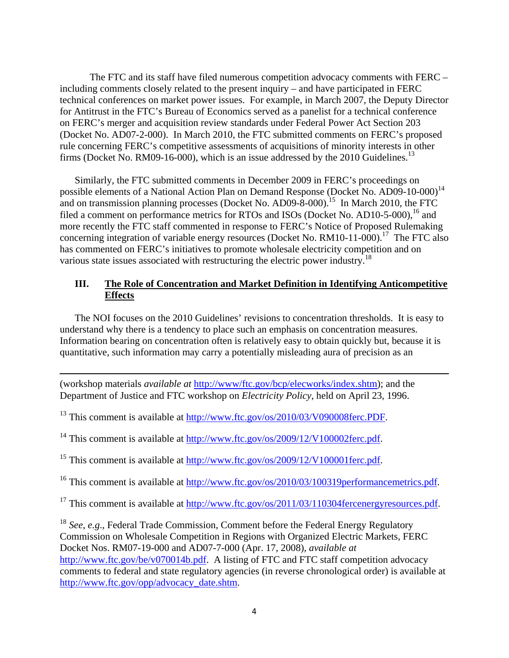The FTC and its staff have filed numerous competition advocacy comments with FERC – including comments closely related to the present inquiry – and have participated in FERC technical conferences on market power issues. For example, in March 2007, the Deputy Director for Antitrust in the FTC's Bureau of Economics served as a panelist for a technical conference on FERC's merger and acquisition review standards under Federal Power Act Section 203 (Docket No. AD07-2-000). In March 2010, the FTC submitted comments on FERC's proposed rule concerning FERC's competitive assessments of acquisitions of minority interests in other firms (Docket No. RM09-16-000), which is an issue addressed by the 2010 Guidelines.<sup>13</sup>

Similarly, the FTC submitted comments in December 2009 in FERC's proceedings on possible elements of a National Action Plan on Demand Response (Docket No. AD09-10-000)<sup>14</sup> and on transmission planning processes (Docket No. AD09-8-000).<sup>15</sup> In March 2010, the FTC filed a comment on performance metrics for RTOs and ISOs (Docket No. AD10-5-000),  $^{16}$  and more recently the FTC staff commented in response to FERC's Notice of Proposed Rulemaking concerning integration of variable energy resources (Docket No. RM10-11-000).<sup>17</sup> The FTC also has commented on FERC's initiatives to promote wholesale electricity competition and on various state issues associated with restructuring the electric power industry.<sup>18</sup>

# **III. The Role of Concentration and Market Definition in Identifying Anticompetitive Effects**

The NOI focuses on the 2010 Guidelines' revisions to concentration thresholds. It is easy to understand why there is a tendency to place such an emphasis on concentration measures. Information bearing on concentration often is relatively easy to obtain quickly but, because it is quantitative, such information may carry a potentially misleading aura of precision as an

<u> 1989 - Johann Stoff, amerikansk politiker (d. 1989)</u>

(workshop materials *available at* http://www/ftc.gov/bcp/elecworks/index.shtm); and the Department of Justice and FTC workshop on *Electricity Policy*, held on April 23, 1996.

<sup>13</sup> This comment is available at http://www.ftc.gov/os/2010/03/V090008ferc.PDF.

<sup>14</sup> This comment is available at  $\frac{http://www.ftc.gov/os/2009/12/V100002ferc.pdf.}$ 

<sup>15</sup> This comment is available at http://www.ftc.gov/os/2009/12/V100001ferc.pdf.

<sup>16</sup> This comment is available at http://www.ftc.gov/os/2010/03/100319performancemetrics.pdf.

<sup>17</sup> This comment is available at http://www.ftc.gov/os/2011/03/110304fercenergyresources.pdf.

<sup>18</sup> *See*, *e.g*., Federal Trade Commission, Comment before the Federal Energy Regulatory Commission on Wholesale Competition in Regions with Organized Electric Markets, FERC Docket Nos. RM07-19-000 and AD07-7-000 (Apr. 17, 2008), *available at* http://www.ftc.gov/be/v070014b.pdf. A listing of FTC and FTC staff competition advocacy comments to federal and state regulatory agencies (in reverse chronological order) is available at http://www.ftc.gov/opp/advocacy\_date.shtm.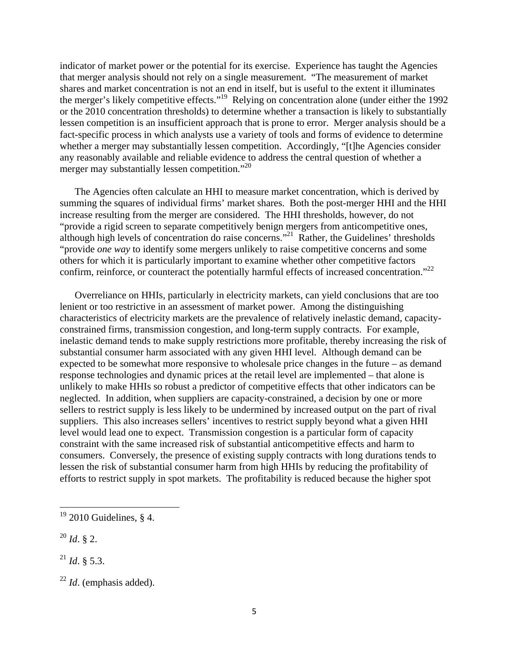indicator of market power or the potential for its exercise. Experience has taught the Agencies that merger analysis should not rely on a single measurement. "The measurement of market shares and market concentration is not an end in itself, but is useful to the extent it illuminates the merger's likely competitive effects."<sup>19</sup> Relying on concentration alone (under either the 1992 or the 2010 concentration thresholds) to determine whether a transaction is likely to substantially lessen competition is an insufficient approach that is prone to error. Merger analysis should be a fact-specific process in which analysts use a variety of tools and forms of evidence to determine whether a merger may substantially lessen competition. Accordingly, "[t]he Agencies consider any reasonably available and reliable evidence to address the central question of whether a merger may substantially lessen competition."<sup>20</sup>

The Agencies often calculate an HHI to measure market concentration, which is derived by summing the squares of individual firms' market shares. Both the post-merger HHI and the HHI increase resulting from the merger are considered. The HHI thresholds, however, do not "provide a rigid screen to separate competitively benign mergers from anticompetitive ones, although high levels of concentration do raise concerns."<sup>21</sup> Rather, the Guidelines' thresholds "provide *one way* to identify some mergers unlikely to raise competitive concerns and some others for which it is particularly important to examine whether other competitive factors confirm, reinforce, or counteract the potentially harmful effects of increased concentration."<sup>22</sup>

Overreliance on HHIs, particularly in electricity markets, can yield conclusions that are too lenient or too restrictive in an assessment of market power. Among the distinguishing characteristics of electricity markets are the prevalence of relatively inelastic demand, capacityconstrained firms, transmission congestion, and long-term supply contracts. For example, inelastic demand tends to make supply restrictions more profitable, thereby increasing the risk of substantial consumer harm associated with any given HHI level. Although demand can be expected to be somewhat more responsive to wholesale price changes in the future – as demand response technologies and dynamic prices at the retail level are implemented – that alone is unlikely to make HHIs so robust a predictor of competitive effects that other indicators can be neglected. In addition, when suppliers are capacity-constrained, a decision by one or more sellers to restrict supply is less likely to be undermined by increased output on the part of rival suppliers. This also increases sellers' incentives to restrict supply beyond what a given HHI level would lead one to expect. Transmission congestion is a particular form of capacity constraint with the same increased risk of substantial anticompetitive effects and harm to consumers. Conversely, the presence of existing supply contracts with long durations tends to lessen the risk of substantial consumer harm from high HHIs by reducing the profitability of efforts to restrict supply in spot markets. The profitability is reduced because the higher spot

 $19$  2010 Guidelines, § 4.

<sup>20</sup> *Id*. § 2.

 $^{21}$  *Id.* § 5.3.

<sup>22</sup> *Id*. (emphasis added).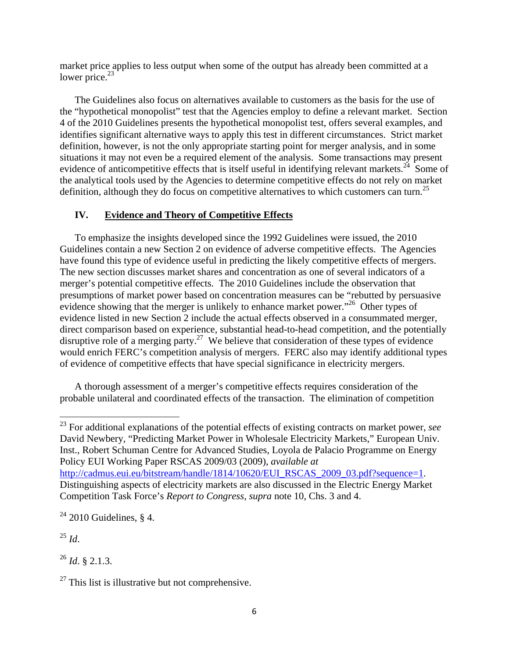market price applies to less output when some of the output has already been committed at a lower price. $23$ 

The Guidelines also focus on alternatives available to customers as the basis for the use of the "hypothetical monopolist" test that the Agencies employ to define a relevant market. Section 4 of the 2010 Guidelines presents the hypothetical monopolist test, offers several examples, and identifies significant alternative ways to apply this test in different circumstances. Strict market definition, however, is not the only appropriate starting point for merger analysis, and in some situations it may not even be a required element of the analysis. Some transactions may present evidence of anticompetitive effects that is itself useful in identifying relevant markets.<sup>24</sup> Some of the analytical tools used by the Agencies to determine competitive effects do not rely on market definition, although they do focus on competitive alternatives to which customers can turn.<sup>25</sup>

# **IV. Evidence and Theory of Competitive Effects**

To emphasize the insights developed since the 1992 Guidelines were issued, the 2010 Guidelines contain a new Section 2 on evidence of adverse competitive effects. The Agencies have found this type of evidence useful in predicting the likely competitive effects of mergers. The new section discusses market shares and concentration as one of several indicators of a merger's potential competitive effects. The 2010 Guidelines include the observation that presumptions of market power based on concentration measures can be "rebutted by persuasive evidence showing that the merger is unlikely to enhance market power.<sup>"26</sup> Other types of evidence listed in new Section 2 include the actual effects observed in a consummated merger, direct comparison based on experience, substantial head-to-head competition, and the potentially disruptive role of a merging party.<sup>27</sup> We believe that consideration of these types of evidence would enrich FERC's competition analysis of mergers. FERC also may identify additional types of evidence of competitive effects that have special significance in electricity mergers.

A thorough assessment of a merger's competitive effects requires consideration of the probable unilateral and coordinated effects of the transaction. The elimination of competition

23 For additional explanations of the potential effects of existing contracts on market power, *see* David Newbery, "Predicting Market Power in Wholesale Electricity Markets," European Univ. Inst., Robert Schuman Centre for Advanced Studies, Loyola de Palacio Programme on Energy Policy EUI Working Paper RSCAS 2009/03 (2009), *available at* http://cadmus.eui.eu/bitstream/handle/1814/10620/EUI\_RSCAS\_2009\_03.pdf?sequence=1. Distinguishing aspects of electricity markets are also discussed in the Electric Energy Market Competition Task Force's *Report to Congress*, *supra* note 10, Chs. 3 and 4.

 $24$  2010 Guidelines, § 4.

<sup>25</sup> *Id*.

<sup>26</sup> *Id*. § 2.1.3.

 $27$  This list is illustrative but not comprehensive.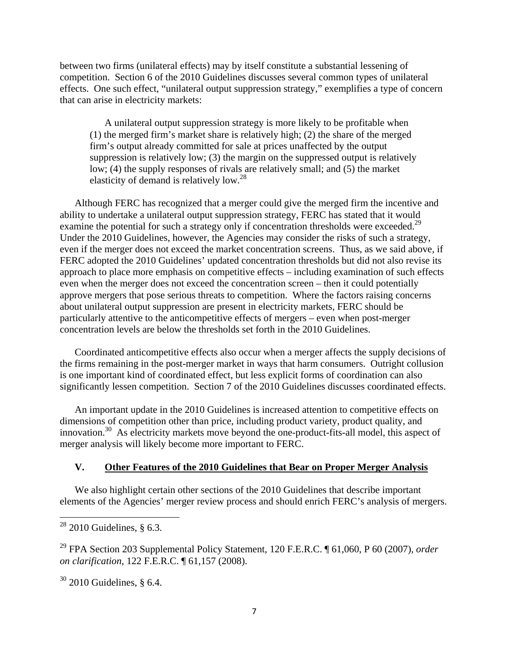between two firms (unilateral effects) may by itself constitute a substantial lessening of competition. Section 6 of the 2010 Guidelines discusses several common types of unilateral effects. One such effect, "unilateral output suppression strategy," exemplifies a type of concern that can arise in electricity markets:

A unilateral output suppression strategy is more likely to be profitable when (1) the merged firm's market share is relatively high; (2) the share of the merged firm's output already committed for sale at prices unaffected by the output suppression is relatively low; (3) the margin on the suppressed output is relatively low; (4) the supply responses of rivals are relatively small; and (5) the market elasticity of demand is relatively low.<sup>28</sup>

Although FERC has recognized that a merger could give the merged firm the incentive and ability to undertake a unilateral output suppression strategy, FERC has stated that it would examine the potential for such a strategy only if concentration thresholds were exceeded.<sup>29</sup> Under the 2010 Guidelines, however, the Agencies may consider the risks of such a strategy, even if the merger does not exceed the market concentration screens. Thus, as we said above, if FERC adopted the 2010 Guidelines' updated concentration thresholds but did not also revise its approach to place more emphasis on competitive effects – including examination of such effects even when the merger does not exceed the concentration screen – then it could potentially approve mergers that pose serious threats to competition. Where the factors raising concerns about unilateral output suppression are present in electricity markets, FERC should be particularly attentive to the anticompetitive effects of mergers – even when post-merger concentration levels are below the thresholds set forth in the 2010 Guidelines.

Coordinated anticompetitive effects also occur when a merger affects the supply decisions of the firms remaining in the post-merger market in ways that harm consumers. Outright collusion is one important kind of coordinated effect, but less explicit forms of coordination can also significantly lessen competition. Section 7 of the 2010 Guidelines discusses coordinated effects.

An important update in the 2010 Guidelines is increased attention to competitive effects on dimensions of competition other than price, including product variety, product quality, and innovation.30 As electricity markets move beyond the one-product-fits-all model, this aspect of merger analysis will likely become more important to FERC.

### **V. Other Features of the 2010 Guidelines that Bear on Proper Merger Analysis**

We also highlight certain other sections of the 2010 Guidelines that describe important elements of the Agencies' merger review process and should enrich FERC's analysis of mergers.

 $28$  2010 Guidelines, § 6.3.

<sup>29</sup> FPA Section 203 Supplemental Policy Statement, 120 F.E.R.C. ¶ 61,060, P 60 (2007), *order on clarification*, 122 F.E.R.C. ¶ 61,157 (2008).

 $30\,2010$  Guidelines, § 6.4.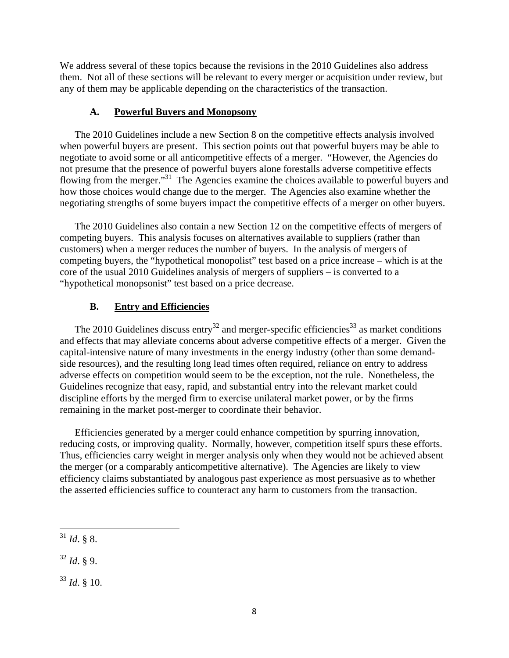We address several of these topics because the revisions in the 2010 Guidelines also address them. Not all of these sections will be relevant to every merger or acquisition under review, but any of them may be applicable depending on the characteristics of the transaction.

### **A. Powerful Buyers and Monopsony**

The 2010 Guidelines include a new Section 8 on the competitive effects analysis involved when powerful buyers are present. This section points out that powerful buyers may be able to negotiate to avoid some or all anticompetitive effects of a merger. "However, the Agencies do not presume that the presence of powerful buyers alone forestalls adverse competitive effects flowing from the merger."<sup>31</sup> The Agencies examine the choices available to powerful buyers and how those choices would change due to the merger. The Agencies also examine whether the negotiating strengths of some buyers impact the competitive effects of a merger on other buyers.

The 2010 Guidelines also contain a new Section 12 on the competitive effects of mergers of competing buyers. This analysis focuses on alternatives available to suppliers (rather than customers) when a merger reduces the number of buyers. In the analysis of mergers of competing buyers, the "hypothetical monopolist" test based on a price increase – which is at the core of the usual 2010 Guidelines analysis of mergers of suppliers – is converted to a "hypothetical monopsonist" test based on a price decrease.

## **B. Entry and Efficiencies**

The 2010 Guidelines discuss entry<sup>32</sup> and merger-specific efficiencies<sup>33</sup> as market conditions and effects that may alleviate concerns about adverse competitive effects of a merger. Given the capital-intensive nature of many investments in the energy industry (other than some demandside resources), and the resulting long lead times often required, reliance on entry to address adverse effects on competition would seem to be the exception, not the rule. Nonetheless, the Guidelines recognize that easy, rapid, and substantial entry into the relevant market could discipline efforts by the merged firm to exercise unilateral market power, or by the firms remaining in the market post-merger to coordinate their behavior.

Efficiencies generated by a merger could enhance competition by spurring innovation, reducing costs, or improving quality. Normally, however, competition itself spurs these efforts. Thus, efficiencies carry weight in merger analysis only when they would not be achieved absent the merger (or a comparably anticompetitive alternative). The Agencies are likely to view efficiency claims substantiated by analogous past experience as most persuasive as to whether the asserted efficiencies suffice to counteract any harm to customers from the transaction.

 <sup>31</sup> *Id*. § 8.

 $32$  *Id.* § 9.

 $33$  *Id.* § 10.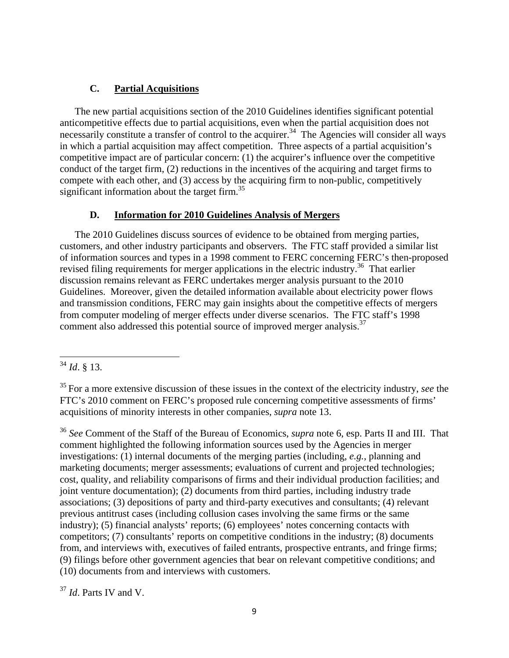## **C. Partial Acquisitions**

The new partial acquisitions section of the 2010 Guidelines identifies significant potential anticompetitive effects due to partial acquisitions, even when the partial acquisition does not necessarily constitute a transfer of control to the acquirer.<sup>34</sup> The Agencies will consider all ways in which a partial acquisition may affect competition. Three aspects of a partial acquisition's competitive impact are of particular concern: (1) the acquirer's influence over the competitive conduct of the target firm, (2) reductions in the incentives of the acquiring and target firms to compete with each other, and (3) access by the acquiring firm to non-public, competitively significant information about the target firm.<sup>35</sup>

## **D. Information for 2010 Guidelines Analysis of Mergers**

The 2010 Guidelines discuss sources of evidence to be obtained from merging parties, customers, and other industry participants and observers. The FTC staff provided a similar list of information sources and types in a 1998 comment to FERC concerning FERC's then-proposed revised filing requirements for merger applications in the electric industry.<sup>36</sup> That earlier discussion remains relevant as FERC undertakes merger analysis pursuant to the 2010 Guidelines. Moreover, given the detailed information available about electricity power flows and transmission conditions, FERC may gain insights about the competitive effects of mergers from computer modeling of merger effects under diverse scenarios. The FTC staff's 1998 comment also addressed this potential source of improved merger analysis.<sup>37</sup>

<sup>36</sup> *See* Comment of the Staff of the Bureau of Economics, *supra* note 6, esp. Parts II and III. That comment highlighted the following information sources used by the Agencies in merger investigations: (1) internal documents of the merging parties (including, *e.g.*, planning and marketing documents; merger assessments; evaluations of current and projected technologies; cost, quality, and reliability comparisons of firms and their individual production facilities; and joint venture documentation); (2) documents from third parties, including industry trade associations; (3) depositions of party and third-party executives and consultants; (4) relevant previous antitrust cases (including collusion cases involving the same firms or the same industry); (5) financial analysts' reports; (6) employees' notes concerning contacts with competitors; (7) consultants' reports on competitive conditions in the industry; (8) documents from, and interviews with, executives of failed entrants, prospective entrants, and fringe firms; (9) filings before other government agencies that bear on relevant competitive conditions; and (10) documents from and interviews with customers.

<sup>37</sup> *Id*. Parts IV and V.

 <sup>34</sup> *Id*. § 13.

<sup>35</sup> For a more extensive discussion of these issues in the context of the electricity industry, *see* the FTC's 2010 comment on FERC's proposed rule concerning competitive assessments of firms' acquisitions of minority interests in other companies, *supra* note 13.